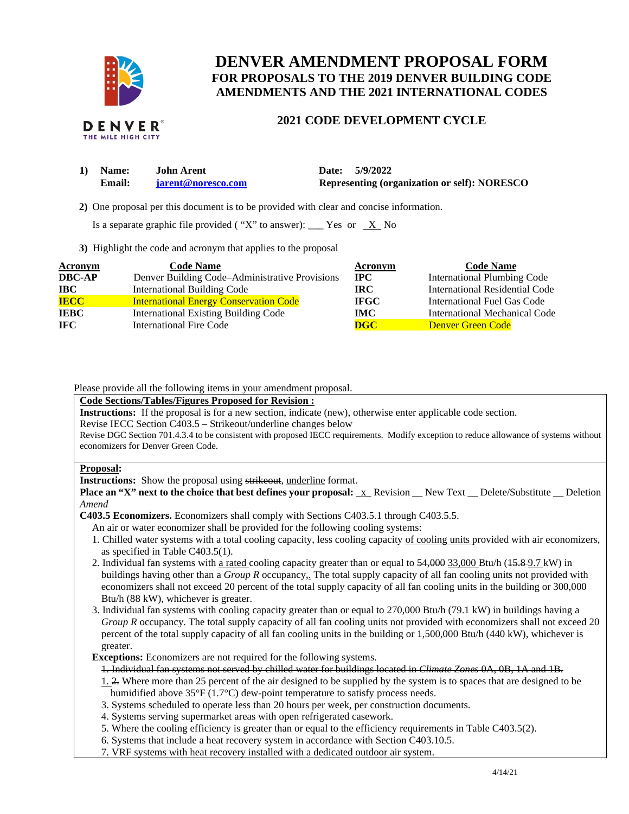

# **DENVER AMENDMENT PROPOSAL FORM FOR PROPOSALS TO THE 2019 DENVER BUILDING CODE AMENDMENTS AND THE 2021 INTERNATIONAL CODES**

#### **DENVER** THE MILE HIGH CITY

# **2021 CODE DEVELOPMENT CYCLE**

| 1) Name:      | <b>John Arent</b>  | Date: 5/9/2022                                      |
|---------------|--------------------|-----------------------------------------------------|
| <b>Email:</b> | iarent@noresco.com | <b>Representing (organization or self): NORESCO</b> |

 **2)** One proposal per this document is to be provided with clear and concise information.

Is a separate graphic file provided ("X" to answer): \_\_\_ Yes or  $X$  No

**3)** Highlight the code and acronym that applies to the proposal

| Acronym       | <b>Code Name</b>                               | Acronym      | <b>Code Name</b>                   |
|---------------|------------------------------------------------|--------------|------------------------------------|
| <b>DBC-AP</b> | Denver Building Code-Administrative Provisions | $_{\rm IPC}$ | <b>International Plumbing Code</b> |
| <b>IBC</b>    | <b>International Building Code</b>             | <b>IRC</b>   | International Residential Code     |
| <b>IECC</b>   | <b>International Energy Conservation Code</b>  | <b>IFGC</b>  | International Fuel Gas Code        |
| <b>IEBC</b>   | <b>International Existing Building Code</b>    | <b>IMC</b>   | International Mechanical Code      |
| IFC.          | <b>International Fire Code</b>                 | <b>DGC</b>   | Denver Green Code                  |

Please provide all the following items in your amendment proposal.

## **Code Sections/Tables/Figures Proposed for Revision :**

**Instructions:** If the proposal is for a new section, indicate (new), otherwise enter applicable code section.

Revise IECC Section C403.5 – Strikeout/underline changes below

Revise DGC Section 701.4.3.4 to be consistent with proposed IECC requirements. Modify exception to reduce allowance of systems without economizers for Denver Green Code.

### **Proposal:**

**Instructions:** Show the proposal using strikeout, underline format.

**Place an "X" next to the choice that best defines your proposal:**  $\bar{x}$  Revision New Text \_ Delete/Substitute \_ Deletion *Amend* 

**C403.5 Economizers.** Economizers shall comply with Sections C403.5.1 through C403.5.5.

- An air or water economizer shall be provided for the following cooling systems:
- 1. Chilled water systems with a total cooling capacity, less cooling capacity of cooling units provided with air economizers, as specified in Table C403.5(1).
- 2. Individual fan systems with a rated cooling capacity greater than or equal to  $54,000$  33,000 Btu/h ( $15.89$ .7 kW) in buildings having other than a *Group R* occupancy,. The total supply capacity of all fan cooling units not provided with economizers shall not exceed 20 percent of the total supply capacity of all fan cooling units in the building or 300,000 Btu/h (88 kW), whichever is greater.
- 3. Individual fan systems with cooling capacity greater than or equal to 270,000 Btu/h (79.1 kW) in buildings having a *Group R* occupancy. The total supply capacity of all fan cooling units not provided with economizers shall not exceed 20 percent of the total supply capacity of all fan cooling units in the building or 1,500,000 Btu/h (440 kW), whichever is greater.

**Exceptions:** Economizers are not required for the following systems.

1. Individual fan systems not served by chilled water for buildings located in *Climate Zones* 0A, 0B, 1A and 1B.

1. 2. Where more than 25 percent of the air designed to be supplied by the system is to spaces that are designed to be humidified above 35°F (1.7°C) dew-point temperature to satisfy process needs.

- 3. Systems scheduled to operate less than 20 hours per week, per construction documents.
- 4. Systems serving supermarket areas with open refrigerated casework.
- 5. Where the cooling efficiency is greater than or equal to the efficiency requirements in Table C403.5(2).
- 6. Systems that include a heat recovery system in accordance with Section C403.10.5.
- 7. VRF systems with heat recovery installed with a dedicated outdoor air system.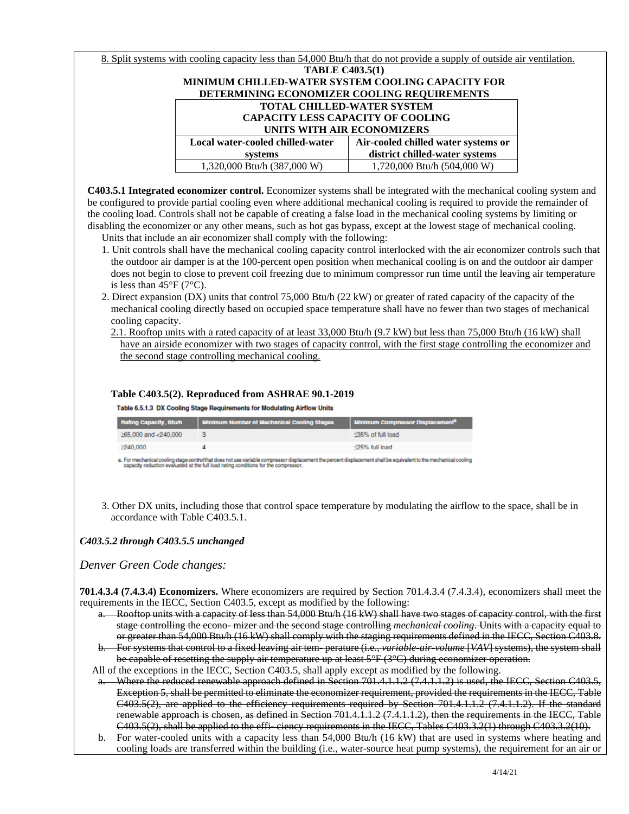| 8. Split systems with cooling capacity less than 54,000 Btu/h that do not provide a supply of outside air ventilation. |                                     |  |  |
|------------------------------------------------------------------------------------------------------------------------|-------------------------------------|--|--|
|                                                                                                                        | <b>TABLE C403.5(1)</b>              |  |  |
| <b>MINIMUM CHILLED-WATER SYSTEM COOLING CAPACITY FOR</b>                                                               |                                     |  |  |
| DETERMINING ECONOMIZER COOLING REQUIREMENTS                                                                            |                                     |  |  |
| <b>TOTAL CHILLED-WATER SYSTEM</b>                                                                                      |                                     |  |  |
| <b>CAPACITY LESS CAPACITY OF COOLING</b>                                                                               |                                     |  |  |
| UNITS WITH AIR ECONOMIZERS                                                                                             |                                     |  |  |
| Local water-cooled chilled-water                                                                                       | Air-cooled chilled water systems or |  |  |
| systems                                                                                                                | district chilled-water systems      |  |  |
| 1,320,000 Btu/h (387,000 W)                                                                                            | 1,720,000 Btu/h (504,000 W)         |  |  |
|                                                                                                                        |                                     |  |  |

**C403.5.1 Integrated economizer control.** Economizer systems shall be integrated with the mechanical cooling system and be configured to provide partial cooling even where additional mechanical cooling is required to provide the remainder of the cooling load. Controls shall not be capable of creating a false load in the mechanical cooling systems by limiting or disabling the economizer or any other means, such as hot gas bypass, except at the lowest stage of mechanical cooling.

- Units that include an air economizer shall comply with the following:
- 1. Unit controls shall have the mechanical cooling capacity control interlocked with the air economizer controls such that the outdoor air damper is at the 100-percent open position when mechanical cooling is on and the outdoor air damper does not begin to close to prevent coil freezing due to minimum compressor run time until the leaving air temperature is less than  $45^{\circ}$ F (7°C).
- 2. Direct expansion (DX) units that control 75,000 Btu/h (22 kW) or greater of rated capacity of the capacity of the mechanical cooling directly based on occupied space temperature shall have no fewer than two stages of mechanical cooling capacity.
	- 2.1. Rooftop units with a rated capacity of at least 33,000 Btu/h (9.7 kW) but less than 75,000 Btu/h (16 kW) shall have an airside economizer with two stages of capacity control, with the first stage controlling the economizer and the second stage controlling mechanical cooling.

### **Table C403.5(2). Reproduced from ASHRAE 90.1-2019**

Table 6.5.1.3 DX Cooling Stage Requirements for Modulating Airflow Units

| Rating Capacity, Btu/h | <b>Minimum Number of Mechanical Cooling Stages</b> | <b>Minimum Compressor Displacement<sup>3</sup></b> |
|------------------------|----------------------------------------------------|----------------------------------------------------|
| ≥65,000 and <240,000   |                                                    | <35% of full load                                  |
| 240,000                |                                                    | <25% full load                                     |

a. For mechanical cooling stage control that does not use variable compressor displacement the percent displacement shall be equivalent to the mechanical cooling<br>capacity reduction evaluated at the full load rating conditi

3. Other DX units, including those that control space temperature by modulating the airflow to the space, shall be in accordance with Table C403.5.1.

*C403.5.2 through C403.5.5 unchanged* 

*Denver Green Code changes:* 

**701.4.3.4 (7.4.3.4) Economizers.** Where economizers are required by Section 701.4.3.4 (7.4.3.4), economizers shall meet the requirements in the IECC, Section C403.5, except as modified by the following:

- a. Rooftop units with a capacity of less than 54,000 Btu/h (16 kW) shall have two stages of capacity control, with the first stage controlling the econo- mizer and the second stage controlling *mechanical cooling*. Units with a capacity equal to or greater than 54,000 Btu/h (16 kW) shall comply with the staging requirements defined in the IECC, Section C403.8.
- b. For systems that control to a fixed leaving air tem- perature (i.e., *variable-air-volume* [*VAV*] systems), the system shall be capable of resetting the supply air temperature up at least 5°F (3°C) during economizer operation.
- All of the exceptions in the IECC, Section C403.5, shall apply except as modified by the following.
- Where the reduced renewable approach defined in Section 701.4.1.1.2 (7.4.1.1.2) is used, the IECC, Section C403.5, Exception 5, shall be permitted to eliminate the economizer requirement, provided the requirements in the IECC, Table C403.5(2), are applied to the efficiency requirements required by Section 701.4.1.1.2 (7.4.1.1.2). If the standard renewable approach is chosen, as defined in Section 701.4.1.1.2 (7.4.1.1.2), then the requirements in the IECC, Table C403.5(2), shall be applied to the effi-ciency requirements in the IECC, Tables C403.3.2(1) through C403.3.2(10).
- b. For water-cooled units with a capacity less than 54,000 Btu/h (16 kW) that are used in systems where heating and cooling loads are transferred within the building (i.e., water-source heat pump systems), the requirement for an air or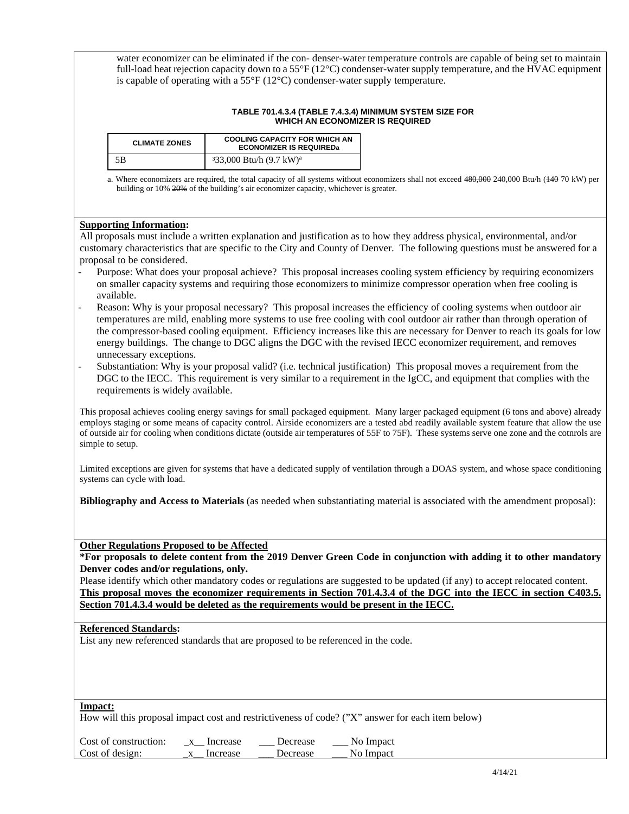water economizer can be eliminated if the con- denser-water temperature controls are capable of being set to maintain full-load heat rejection capacity down to a 55 $^{\circ}$ F (12 $^{\circ}$ C) condenser-water supply temperature, and the HVAC equipment is capable of operating with a  $55^{\circ}F(12^{\circ}C)$  condenser-water supply temperature.

#### **TABLE 701.4.3.4 (TABLE 7.4.3.4) MINIMUM SYSTEM SIZE FOR WHICH AN ECONOMIZER IS REQUIRED**

| <b>CLIMATE ZONES</b> | <b>COOLING CAPACITY FOR WHICH AN</b><br><b>ECONOMIZER IS REQUIREDa</b> |  |
|----------------------|------------------------------------------------------------------------|--|
| 5B                   | $333,000$ Btu/h $(9.7 \text{ kW})^{\text{a}}$                          |  |

a. Where economizers are required, the total capacity of all systems without economizers shall not exceed 480,000 240,000 Btu/h (140 70 kW) per building or 10% 20% of the building's air economizer capacity, whichever is greater.

#### **Supporting Information:**

All proposals must include a written explanation and justification as to how they address physical, environmental, and/or customary characteristics that are specific to the City and County of Denver. The following questions must be answered for a proposal to be considered.

- Purpose: What does your proposal achieve? This proposal increases cooling system efficiency by requiring economizers on smaller capacity systems and requiring those economizers to minimize compressor operation when free cooling is available.
- Reason: Why is your proposal necessary? This proposal increases the efficiency of cooling systems when outdoor air temperatures are mild, enabling more systems to use free cooling with cool outdoor air rather than through operation of the compressor-based cooling equipment. Efficiency increases like this are necessary for Denver to reach its goals for low energy buildings. The change to DGC aligns the DGC with the revised IECC economizer requirement, and removes unnecessary exceptions.
- Substantiation: Why is your proposal valid? (i.e. technical justification) This proposal moves a requirement from the DGC to the IECC. This requirement is very similar to a requirement in the IgCC, and equipment that complies with the requirements is widely available.

This proposal achieves cooling energy savings for small packaged equipment. Many larger packaged equipment (6 tons and above) already employs staging or some means of capacity control. Airside economizers are a tested abd readily available system feature that allow the use of outside air for cooling when conditions dictate (outside air temperatures of 55F to 75F). These systems serve one zone and the cotnrols are simple to setup.

Limited exceptions are given for systems that have a dedicated supply of ventilation through a DOAS system, and whose space conditioning systems can cycle with load.

**Bibliography and Access to Materials** (as needed when substantiating material is associated with the amendment proposal):

**Other Regulations Proposed to be Affected** 

**\*For proposals to delete content from the 2019 Denver Green Code in conjunction with adding it to other mandatory Denver codes and/or regulations, only.**

Please identify which other mandatory codes or regulations are suggested to be updated (if any) to accept relocated content. **This proposal moves the economizer requirements in Section 701.4.3.4 of the DGC into the IECC in section C403.5. Section 701.4.3.4 would be deleted as the requirements would be present in the IECC.** 

#### **Referenced Standards:**

List any new referenced standards that are proposed to be referenced in the code.

#### **Impact:**

How will this proposal impact cost and restrictiveness of code? ("X" answer for each item below)

| Cost of construction: | Increase | Decrease | No Impact<br>_____ |
|-----------------------|----------|----------|--------------------|
| Cost of design:       | Increase | Decrease | No Impact          |